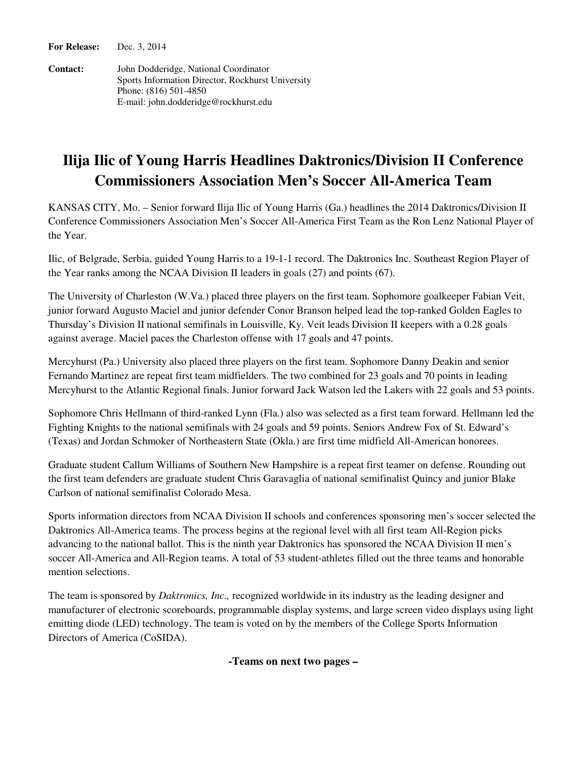**For Release:** Dec. 3, 2014

**Contact:** John Dodderidge, National Coordinator Sports Information Director, Rockhurst University Phone: (816) 501-4850 E-mail: john.dodderidge@rockhurst.edu

# **Ilija Ilic of Young Harris Headlines Daktronics/Division II Conference Commissioners Association Men's Soccer All-America Team**

KANSAS CITY, Mo. – Senior forward Ilija Ilic of Young Harris (Ga.) headlines the 2014 Daktronics/Division II Conference Commissioners Association Men's Soccer All-America First Team as the Ron Lenz National Player of the Year.

Ilic, of Belgrade, Serbia, guided Young Harris to a 19-1-1 record. The Daktronics Inc. Southeast Region Player of the Year ranks among the NCAA Division II leaders in goals (27) and points (67).

The University of Charleston (W.Va.) placed three players on the first team. Sophomore goalkeeper Fabian Veit, junior forward Augusto Maciel and junior defender Conor Branson helped lead the top-ranked Golden Eagles to Thursday's Division II national semifinals in Louisville, Ky. Veit leads Division II keepers with a 0.28 goals against average. Maciel paces the Charleston offense with 17 goals and 47 points.

Mercyhurst (Pa.) University also placed three players on the first team. Sophomore Danny Deakin and senior Fernando Martinez are repeat first team midfielders. The two combined for 23 goals and 70 points in leading Mercyhurst to the Atlantic Regional finals. Junior forward Jack Watson led the Lakers with 22 goals and 53 points.

Sophomore Chris Hellmann of third-ranked Lynn (Fla.) also was selected as a first team forward. Hellmann led the Fighting Knights to the national semifinals with 24 goals and 59 points. Seniors Andrew Fox of St. Edward's (Texas) and Jordan Schmoker of Northeastern State (Okla.) are first time midfield All-American honorees.

Graduate student Callum Williams of Southern New Hampshire is a repeat first teamer on defense. Rounding out the first team defenders are graduate student Chris Garavaglia of national semifinalist Quincy and junior Blake Carlson of national semifinalist Colorado Mesa.

Sports information directors from NCAA Division II schools and conferences sponsoring men's soccer selected the Daktronics All-America teams. The process begins at the regional level with all first team All-Region picks advancing to the national ballot. This is the ninth year Daktronics has sponsored the NCAA Division II men's soccer All-America and All-Region teams. A total of 53 student-athletes filled out the three teams and honorable mention selections.

The team is sponsored by *Daktronics, Inc.,* recognized worldwide in its industry as the leading designer and manufacturer of electronic scoreboards, programmable display systems, and large screen video displays using light emitting diode (LED) technology. The team is voted on by the members of the College Sports Information Directors of America (CoSIDA).

**-Teams on next two pages –**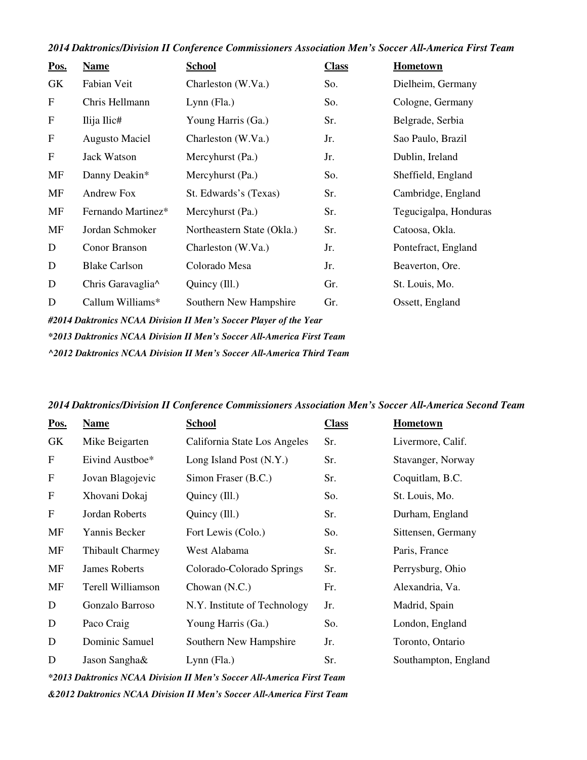## *2014 Daktronics/Division II Conference Commissioners Association Men's Soccer All-America First Team*

| Pos.        | <b>Name</b>           | <b>School</b>              | <b>Class</b> | <b>Hometown</b>       |
|-------------|-----------------------|----------------------------|--------------|-----------------------|
| GK          | Fabian Veit           | Charleston (W.Va.)         | So.          | Dielheim, Germany     |
| $\mathbf F$ | Chris Hellmann        | $Lynn$ (Fla.)              | So.          | Cologne, Germany      |
| $\mathbf F$ | Ilija Ilic#           | Young Harris (Ga.)         | Sr.          | Belgrade, Serbia      |
| $\mathbf F$ | <b>Augusto Maciel</b> | Charleston (W.Va.)         | Jr.          | Sao Paulo, Brazil     |
| $\mathbf F$ | Jack Watson           | Mercyhurst (Pa.)           | Jr.          | Dublin, Ireland       |
| MF          | Danny Deakin*         | Mercyhurst (Pa.)           | So.          | Sheffield, England    |
| <b>MF</b>   | Andrew Fox            | St. Edwards's (Texas)      | Sr.          | Cambridge, England    |
| MF          | Fernando Martinez*    | Mercyhurst (Pa.)           | Sr.          | Tegucigalpa, Honduras |
| MF          | Jordan Schmoker       | Northeastern State (Okla.) | Sr.          | Catoosa, Okla.        |
| D           | Conor Branson         | Charleston (W.Va.)         | Jr.          | Pontefract, England   |
| D           | <b>Blake Carlson</b>  | Colorado Mesa              | Jr.          | Beaverton, Ore.       |
| D           | Chris Garavaglia^     | Quincy (Ill.)              | Gr.          | St. Louis, Mo.        |
| D           | Callum Williams*      | Southern New Hampshire     | Gr.          | Ossett, England       |
|             |                       |                            |              |                       |

*#2014 Daktronics NCAA Division II Men's Soccer Player of the Year \*2013 Daktronics NCAA Division II Men's Soccer All-America First Team ^2012 Daktronics NCAA Division II Men's Soccer All-America Third Team*

#### *2014 Daktronics/Division II Conference Commissioners Association Men's Soccer All-America Second Team*

| Pos.                      | <b>Name</b>             | <b>School</b>                | <b>Class</b> | Hometown             |
|---------------------------|-------------------------|------------------------------|--------------|----------------------|
| GK                        | Mike Beigarten          | California State Los Angeles | Sr.          | Livermore, Calif.    |
| $\mathbf F$               | Eivind Austboe*         | Long Island Post $(N.Y.)$    | Sr.          | Stavanger, Norway    |
| $\boldsymbol{\mathrm{F}}$ | Jovan Blagojevic        | Simon Fraser (B.C.)          | Sr.          | Coquitlam, B.C.      |
| $\mathbf F$               | Xhovani Dokaj           | Quincy (III.)                | So.          | St. Louis, Mo.       |
| $\mathbf F$               | Jordan Roberts          | Quincy $(III.)$              | Sr.          | Durham, England      |
| MF                        | Yannis Becker           | Fort Lewis (Colo.)           | So.          | Sittensen, Germany   |
| MF                        | <b>Thibault Charmey</b> | West Alabama                 | Sr.          | Paris, France        |
| MF                        | James Roberts           | Colorado-Colorado Springs    | Sr.          | Perrysburg, Ohio     |
| MF                        | Terell Williamson       | Chowan $(N.C.)$              | Fr.          | Alexandria, Va.      |
| $\mathbf D$               | Gonzalo Barroso         | N.Y. Institute of Technology | Jr.          | Madrid, Spain        |
| D                         | Paco Craig              | Young Harris (Ga.)           | So.          | London, England      |
| D                         | Dominic Samuel          | Southern New Hampshire       | Jr.          | Toronto, Ontario     |
| D                         | Jason Sangha&           | Lynn (Fla.)                  | Sr.          | Southampton, England |

*\*2013 Daktronics NCAA Division II Men's Soccer All-America First Team &2012 Daktronics NCAA Division II Men's Soccer All-America First Team*